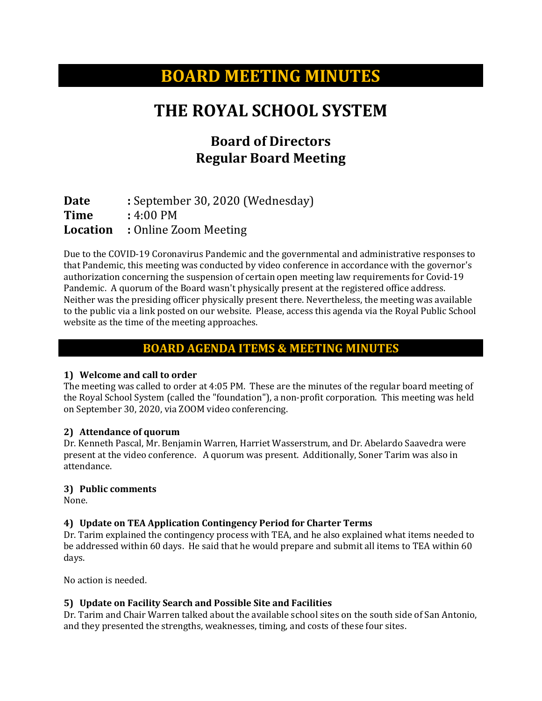# **BOARD MEETING MINUTES**

# **THE ROYAL SCHOOL SYSTEM**

# **Board of Directors Regular Board Meeting**

**Date :** September 30, 2020 (Wednesday)<br> **Time :** 4:00 PM **Time** : 4:00 PM<br>**Location** : Online Z **Location :** Online Zoom Meeting

Due to the COVID-19 Coronavirus Pandemic and the governmental and administrative responses to that Pandemic, this meeting was conducted by video conference in accordance with the governor's authorization concerning the suspension of certain open meeting law requirements for Covid-19 Pandemic. A quorum of the Board wasn't physically present at the registered office address. Neither was the presiding officer physically present there. Nevertheless, the meeting was available to the public via a link posted on our website. Please, access this agenda via the Royal Public School website as the time of the meeting approaches.

### **BOARD AGENDA ITEMS & MEETING MINUTES**

#### **1) Welcome and call to order**

The meeting was called to order at 4:05 PM. These are the minutes of the regular board meeting of the Royal School System (called the "foundation"), a non-profit corporation. This meeting was held on September 30, 2020, via ZOOM video conferencing.

#### **2) Attendance of quorum**

Dr. Kenneth Pascal, Mr. Benjamin Warren, Harriet Wasserstrum, and Dr. Abelardo Saavedra were present at the video conference. A quorum was present. Additionally, Soner Tarim was also in attendance.

#### **3) Public comments**

None.

#### **4) Update on TEA Application Contingency Period for Charter Terms**

Dr. Tarim explained the contingency process with TEA, and he also explained what items needed to be addressed within 60 days. He said that he would prepare and submit all items to TEA within 60 days.

No action is needed.

#### **5) Update on Facility Search and Possible Site and Facilities**

Dr. Tarim and Chair Warren talked about the available school sites on the south side of San Antonio, and they presented the strengths, weaknesses, timing, and costs of these four sites.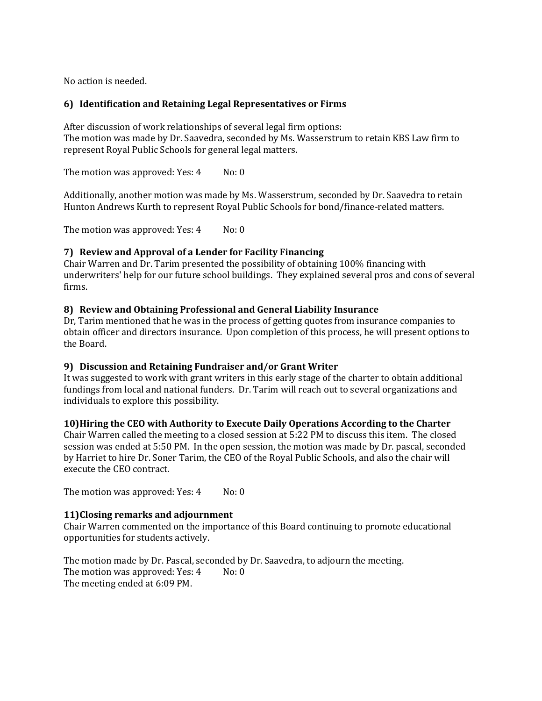No action is needed.

#### **6) Identification and Retaining Legal Representatives or Firms**

After discussion of work relationships of several legal firm options: The motion was made by Dr. Saavedra, seconded by Ms. Wasserstrum to retain KBS Law firm to represent Royal Public Schools for general legal matters.

The motion was approved: Yes: 4 No: 0

Additionally, another motion was made by Ms. Wasserstrum, seconded by Dr. Saavedra to retain Hunton Andrews Kurth to represent Royal Public Schools for bond/finance-related matters.

The motion was approved: Yes: 4 No: 0

#### **7) Review and Approval of a Lender for Facility Financing**

Chair Warren and Dr. Tarim presented the possibility of obtaining 100% financing with underwriters' help for our future school buildings. They explained several pros and cons of several firms.

#### **8) Review and Obtaining Professional and General Liability Insurance**

Dr, Tarim mentioned that he was in the process of getting quotes from insurance companies to obtain officer and directors insurance. Upon completion of this process, he will present options to the Board.

#### **9) Discussion and Retaining Fundraiser and/or Grant Writer**

It was suggested to work with grant writers in this early stage of the charter to obtain additional fundings from local and national funders. Dr. Tarim will reach out to several organizations and individuals to explore this possibility.

#### **10)Hiring the CEO with Authority to Execute Daily Operations According to the Charter**

Chair Warren called the meeting to a closed session at 5:22 PM to discuss this item. The closed session was ended at 5:50 PM. In the open session, the motion was made by Dr. pascal, seconded by Harriet to hire Dr. Soner Tarim, the CEO of the Royal Public Schools, and also the chair will execute the CEO contract.

The motion was approved: Yes: 4 No: 0

#### **11)Closing remarks and adjournment**

Chair Warren commented on the importance of this Board continuing to promote educational opportunities for students actively.

The motion made by Dr. Pascal, seconded by Dr. Saavedra, to adjourn the meeting.<br>The motion was approved: Yes:  $4$  No: 0 The motion was approved: Yes: 4 The meeting ended at 6:09 PM.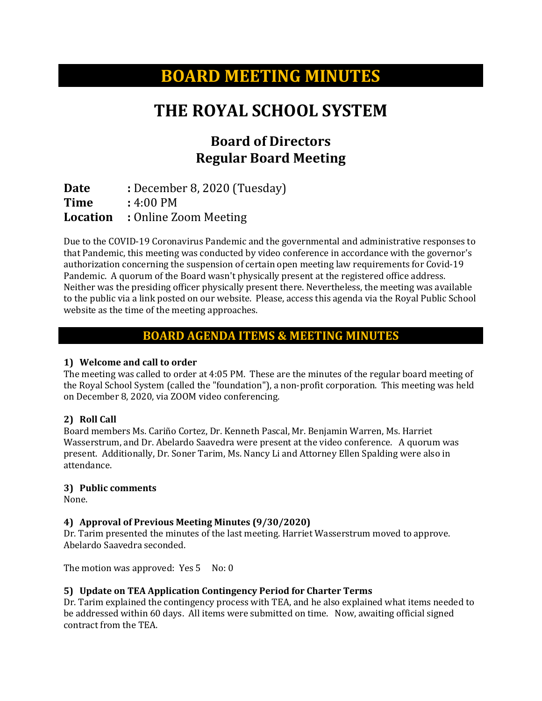# **BOARD MEETING MINUTES**

# **THE ROYAL SCHOOL SYSTEM**

# **Board of Directors Regular Board Meeting**

**Date :** December 8, 2020 (Tuesday)<br>**Time :** 4:00 PM **Time** : 4:00 PM<br>**Location** : Online Z **Location :** Online Zoom Meeting

Due to the COVID-19 Coronavirus Pandemic and the governmental and administrative responses to that Pandemic, this meeting was conducted by video conference in accordance with the governor's authorization concerning the suspension of certain open meeting law requirements for Covid-19 Pandemic. A quorum of the Board wasn't physically present at the registered office address. Neither was the presiding officer physically present there. Nevertheless, the meeting was available to the public via a link posted on our website. Please, access this agenda via the Royal Public School website as the time of the meeting approaches.

### **BOARD AGENDA ITEMS & MEETING MINUTES**

#### **1) Welcome and call to order**

The meeting was called to order at 4:05 PM. These are the minutes of the regular board meeting of the Royal School System (called the "foundation"), a non-profit corporation. This meeting was held on December 8, 2020, via ZOOM video conferencing.

#### **2) Roll Call**

Board members Ms. Cariño Cortez, Dr. Kenneth Pascal, Mr. Benjamin Warren, Ms. Harriet Wasserstrum, and Dr. Abelardo Saavedra were present at the video conference. A quorum was present. Additionally, Dr. Soner Tarim, Ms. Nancy Li and Attorney Ellen Spalding were also in attendance.

#### **3) Public comments**

None.

#### **4) Approval of Previous Meeting Minutes (9/30/2020)**

Dr. Tarim presented the minutes of the last meeting. Harriet Wasserstrum moved to approve. Abelardo Saavedra seconded.

The motion was approved: Yes 5 No: 0

#### **5) Update on TEA Application Contingency Period for Charter Terms**

Dr. Tarim explained the contingency process with TEA, and he also explained what items needed to be addressed within 60 days. All items were submitted on time. Now, awaiting official signed contract from the TEA.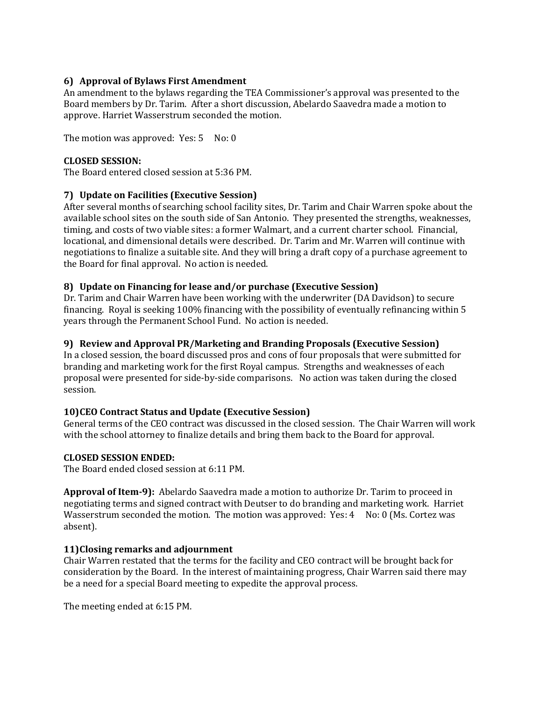#### **6) Approval of Bylaws First Amendment**

An amendment to the bylaws regarding the TEA Commissioner's approval was presented to the Board members by Dr. Tarim. After a short discussion, Abelardo Saavedra made a motion to approve. Harriet Wasserstrum seconded the motion.

The motion was approved: Yes: 5 No: 0

#### **CLOSED SESSION:**

The Board entered closed session at 5:36 PM.

#### **7) Update on Facilities (Executive Session)**

After several months of searching school facility sites, Dr. Tarim and Chair Warren spoke about the available school sites on the south side of San Antonio. They presented the strengths, weaknesses, timing, and costs of two viable sites: a former Walmart, and a current charter school. Financial, locational, and dimensional details were described. Dr. Tarim and Mr. Warren will continue with negotiations to finalize a suitable site. And they will bring a draft copy of a purchase agreement to the Board for final approval. No action is needed.

### **8) Update on Financing for lease and/or purchase (Executive Session)**

Dr. Tarim and Chair Warren have been working with the underwriter (DA Davidson) to secure financing. Royal is seeking 100% financing with the possibility of eventually refinancing within 5 years through the Permanent School Fund. No action is needed.

#### **9) Review and Approval PR/Marketing and Branding Proposals (Executive Session)**

In a closed session, the board discussed pros and cons of four proposals that were submitted for branding and marketing work for the first Royal campus. Strengths and weaknesses of each proposal were presented for side-by-side comparisons. No action was taken during the closed session.

#### **10)CEO Contract Status and Update (Executive Session)**

General terms of the CEO contract was discussed in the closed session. The Chair Warren will work with the school attorney to finalize details and bring them back to the Board for approval.

#### **CLOSED SESSION ENDED:**

The Board ended closed session at 6:11 PM.

**Approval of Item-9):** Abelardo Saavedra made a motion to authorize Dr. Tarim to proceed in negotiating terms and signed contract with Deutser to do branding and marketing work. Harriet Wasserstrum seconded the motion. The motion was approved: Yes: 4 No: 0 (Ms. Cortez was absent).

#### **11)Closing remarks and adjournment**

Chair Warren restated that the terms for the facility and CEO contract will be brought back for consideration by the Board. In the interest of maintaining progress, Chair Warren said there may be a need for a special Board meeting to expedite the approval process.

The meeting ended at 6:15 PM.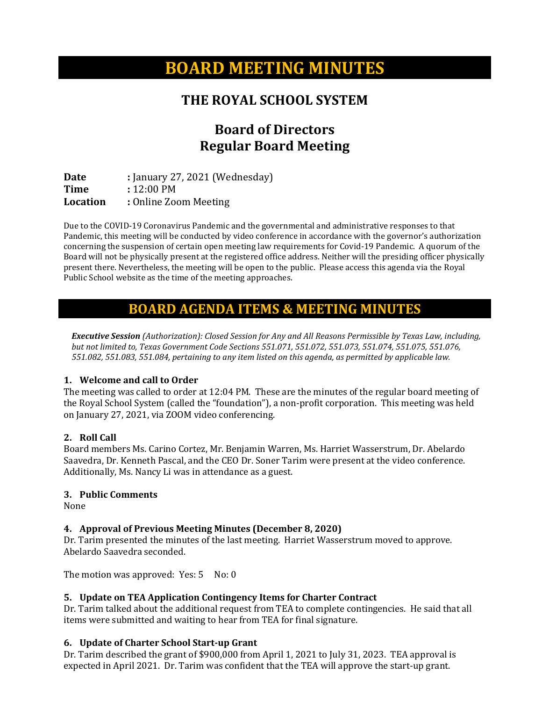# **BOARD MEETING MINUTES**

## **THE ROYAL SCHOOL SYSTEM**

# **Board of Directors Regular Board Meeting**

**Date :** *January 27, 2021* (Wednesday)<br> **Time :** 12:00 PM **Time** : 12:00 PM<br> **Location** : Online Zoo **Location :** Online Zoom Meeting

Due to the COVID-19 Coronavirus Pandemic and the governmental and administrative responses to that Pandemic, this meeting will be conducted by video conference in accordance with the governor's authorization concerning the suspension of certain open meeting law requirements for Covid-19 Pandemic. A quorum of the Board will not be physically present at the registered office address. Neither will the presiding officer physically present there. Nevertheless, the meeting will be open to the public. Please access this agenda via the Royal Public School website as the time of the meeting approaches.

## **BOARD AGENDA ITEMS & MEETING MINUTES**

*Executive Session (Authorization): Closed Session for Any and All Reasons Permissible by Texas Law, including, but not limited to, Texas Government Code Sections 551.071, 551.072, 551.073, 551.074, 551.075, 551.076, 551.082, 551.083, 551.084, pertaining to any item listed on this agenda, as permitted by applicable law.*

### **1. Welcome and call to Order**

The meeting was called to order at 12:04 PM. These are the minutes of the regular board meeting of the Royal School System (called the "foundation"), a non-profit corporation. This meeting was held on January 27, 2021, via ZOOM video conferencing.

### **2. Roll Call**

Board members Ms. Carino Cortez, Mr. Benjamin Warren, Ms. Harriet Wasserstrum, Dr. Abelardo Saavedra, Dr. Kenneth Pascal, and the CEO Dr. Soner Tarim were present at the video conference. Additionally, Ms. Nancy Li was in attendance as a guest.

#### **3. Public Comments**

None

### **4. Approval of Previous Meeting Minutes (December 8, 2020)**

Dr. Tarim presented the minutes of the last meeting. Harriet Wasserstrum moved to approve. Abelardo Saavedra seconded.

The motion was approved: Yes: 5 No: 0

### **5. Update on TEA Application Contingency Items for Charter Contract**

Dr. Tarim talked about the additional request from TEA to complete contingencies. He said that all items were submitted and waiting to hear from TEA for final signature.

### **6. Update of Charter School Start-up Grant**

Dr. Tarim described the grant of \$900,000 from April 1, 2021 to July 31, 2023. TEA approval is expected in April 2021. Dr. Tarim was confident that the TEA will approve the start-up grant.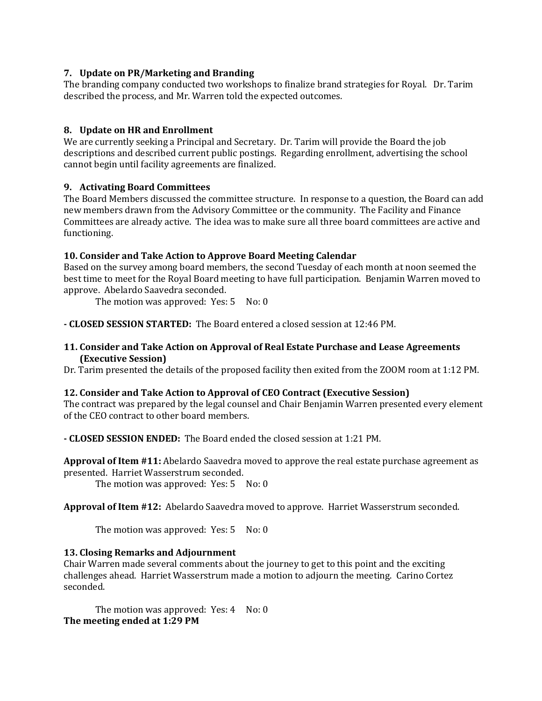#### **7. Update on PR/Marketing and Branding**

The branding company conducted two workshops to finalize brand strategies for Royal. Dr. Tarim described the process, and Mr. Warren told the expected outcomes.

### **8. Update on HR and Enrollment**

We are currently seeking a Principal and Secretary. Dr. Tarim will provide the Board the job descriptions and described current public postings. Regarding enrollment, advertising the school cannot begin until facility agreements are finalized.

### **9. Activating Board Committees**

The Board Members discussed the committee structure. In response to a question, the Board can add new members drawn from the Advisory Committee or the community. The Facility and Finance Committees are already active. The idea was to make sure all three board committees are active and functioning.

### **10. Consider and Take Action to Approve Board Meeting Calendar**

Based on the survey among board members, the second Tuesday of each month at noon seemed the best time to meet for the Royal Board meeting to have full participation. Benjamin Warren moved to approve. Abelardo Saavedra seconded.

The motion was approved: Yes: 5 No: 0

**- CLOSED SESSION STARTED:** The Board entered a closed session at 12:46 PM.

#### **11. Consider and Take Action on Approval of Real Estate Purchase and Lease Agreements (Executive Session)**

Dr. Tarim presented the details of the proposed facility then exited from the ZOOM room at 1:12 PM.

#### **12. Consider and Take Action to Approval of CEO Contract (Executive Session)**

The contract was prepared by the legal counsel and Chair Benjamin Warren presented every element of the CEO contract to other board members.

**- CLOSED SESSION ENDED:** The Board ended the closed session at 1:21 PM.

**Approval of Item #11:** Abelardo Saavedra moved to approve the real estate purchase agreement as presented. Harriet Wasserstrum seconded.

The motion was approved: Yes: 5 No: 0

**Approval of Item #12:** Abelardo Saavedra moved to approve. Harriet Wasserstrum seconded.

The motion was approved: Yes: 5 No: 0

#### **13. Closing Remarks and Adjournment**

Chair Warren made several comments about the journey to get to this point and the exciting challenges ahead. Harriet Wasserstrum made a motion to adjourn the meeting. Carino Cortez seconded.

The motion was approved:  $Yes: 4$  No: 0 **The meeting ended at 1:29 PM**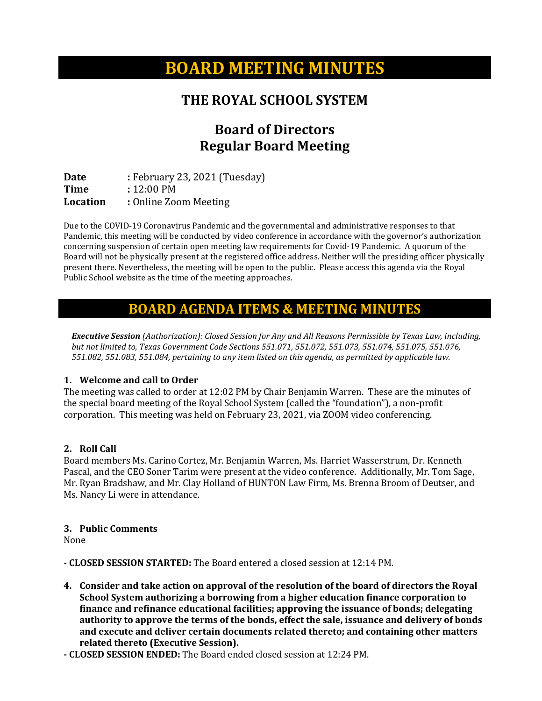# **BOARD MEETING MINUTES**

## **THE ROYAL SCHOOL SYSTEM**

# **Board of Directors Regular Board Meeting**

**Date : February 23, 2021 (Tuesday)**<br> **Time :** 12:00 PM **Time** : 12:00 PM<br> **Location** : Online Zoo **Location :** Online Zoom Meeting

Due to the COVID-19 Coronavirus Pandemic and the governmental and administrative responses to that Pandemic, this meeting will be conducted by video conference in accordance with the governor's authorization concerning suspension of certain open meeting law requirements for Covid-19 Pandemic. A quorum of the Board will not be physically present at the registered office address. Neither will the presiding officer physically present there. Nevertheless, the meeting will be open to the public. Please access this agenda via the Royal Public School website as the time of the meeting approaches.

### **BOARD AGENDA ITEMS & MEETING MINUTES**

*Executive Session (Authorization): Closed Session for Any and All Reasons Permissible by Texas Law, including, but not limited to, Texas Government Code Sections 551.071, 551.072, 551.073, 551.074, 551.075, 551.076, 551.082, 551.083, 551.084, pertaining to any item listed on this agenda, as permitted by applicable law.*

#### **1. Welcome and call to Order**

The meeting was called to order at 12:02 PM by Chair Benjamin Warren. These are the minutes of the special board meeting of the Royal School System (called the "foundation"), a non-profit corporation. This meeting was held on February 23, 2021, via ZOOM video conferencing.

#### **2. Roll Call**

Board members Ms. Carino Cortez, Mr. Benjamin Warren, Ms. Harriet Wasserstrum, Dr. Kenneth Pascal, and the CEO Soner Tarim were present at the video conference. Additionally, Mr. Tom Sage, Mr. Ryan Bradshaw, and Mr. Clay Holland of HUNTON Law Firm, Ms. Brenna Broom of Deutser, and Ms. Nancy Li were in attendance.

#### **3. Public Comments**

None

**- CLOSED SESSION STARTED:** The Board entered a closed session at 12:14 PM.

- **4. Consider and take action on approval of the resolution of the board of directors the Royal School System authorizing a borrowing from a higher education finance corporation to finance and refinance educational facilities; approving the issuance of bonds; delegating authority to approve the terms of the bonds, effect the sale, issuance and delivery of bonds and execute and deliver certain documents related thereto; and containing other matters related thereto (Executive Session).**
- **- CLOSED SESSION ENDED:** The Board ended closed session at 12:24 PM.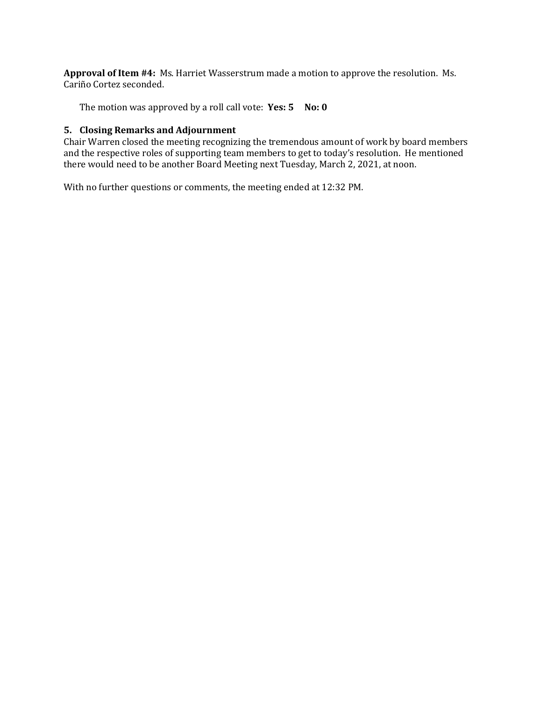**Approval of Item #4:** Ms. Harriet Wasserstrum made a motion to approve the resolution. Ms. Cariño Cortez seconded.

The motion was approved by a roll call vote: **Yes: 5** No: 0

#### **5. Closing Remarks and Adjournment**

Chair Warren closed the meeting recognizing the tremendous amount of work by board members and the respective roles of supporting team members to get to today's resolution. He mentioned there would need to be another Board Meeting next Tuesday, March 2, 2021, at noon.

With no further questions or comments, the meeting ended at 12:32 PM.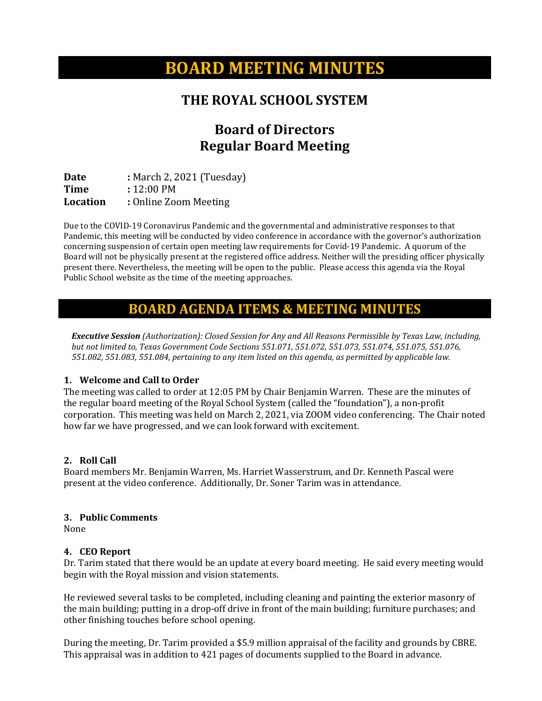# **BOARD MEETING MINUTES**

## **THE ROYAL SCHOOL SYSTEM**

# **Board of Directors Regular Board Meeting**

**Date :** March 2, 2021 (Tuesday)<br>**Time :** 12:00 PM **Time** : 12:00 PM<br> **Location** : Online Zoo **Location :** Online Zoom Meeting

Due to the COVID-19 Coronavirus Pandemic and the governmental and administrative responses to that Pandemic, this meeting will be conducted by video conference in accordance with the governor's authorization concerning suspension of certain open meeting law requirements for Covid-19 Pandemic. A quorum of the Board will not be physically present at the registered office address. Neither will the presiding officer physically present there. Nevertheless, the meeting will be open to the public. Please access this agenda via the Royal Public School website as the time of the meeting approaches.

### **BOARD AGENDA ITEMS & MEETING MINUTES**

*Executive Session (Authorization): Closed Session for Any and All Reasons Permissible by Texas Law, including, but not limited to, Texas Government Code Sections 551.071, 551.072, 551.073, 551.074, 551.075, 551.076, 551.082, 551.083, 551.084, pertaining to any item listed on this agenda, as permitted by applicable law.*

#### **1. Welcome and Call to Order**

The meeting was called to order at 12:05 PM by Chair Benjamin Warren. These are the minutes of the regular board meeting of the Royal School System (called the "foundation"), a non-profit corporation. This meeting was held on March 2, 2021, via ZOOM video conferencing. The Chair noted how far we have progressed, and we can look forward with excitement.

### **2. Roll Call**

Board members Mr. Benjamin Warren, Ms. Harriet Wasserstrum, and Dr. Kenneth Pascal were present at the video conference. Additionally, Dr. Soner Tarim was in attendance.

#### **3. Public Comments**

None

#### **4. CEO Report**

Dr. Tarim stated that there would be an update at every board meeting. He said every meeting would begin with the Royal mission and vision statements.

He reviewed several tasks to be completed, including cleaning and painting the exterior masonry of the main building; putting in a drop-off drive in front of the main building; furniture purchases; and other finishing touches before school opening.

During the meeting, Dr. Tarim provided a \$5.9 million appraisal of the facility and grounds by CBRE. This appraisal was in addition to 421 pages of documents supplied to the Board in advance.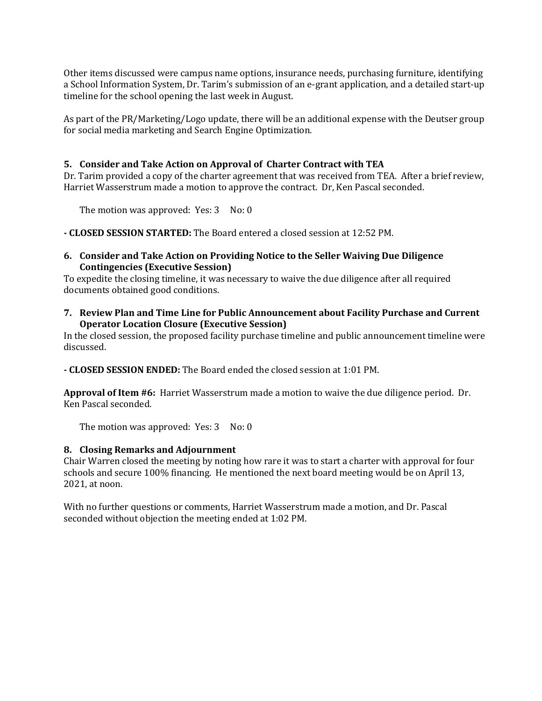Other items discussed were campus name options, insurance needs, purchasing furniture, identifying a School Information System, Dr. Tarim's submission of an e-grant application, and a detailed start-up timeline for the school opening the last week in August.

As part of the PR/Marketing/Logo update, there will be an additional expense with the Deutser group for social media marketing and Search Engine Optimization.

#### **5. Consider and Take Action on Approval of Charter Contract with TEA**

Dr. Tarim provided a copy of the charter agreement that was received from TEA. After a brief review, Harriet Wasserstrum made a motion to approve the contract. Dr, Ken Pascal seconded.

The motion was approved: Yes: 3 No: 0

**- CLOSED SESSION STARTED:** The Board entered a closed session at 12:52 PM.

#### **6. Consider and Take Action on Providing Notice to the Seller Waiving Due Diligence Contingencies (Executive Session)**

To expedite the closing timeline, it was necessary to waive the due diligence after all required documents obtained good conditions.

**7. Review Plan and Time Line for Public Announcement about Facility Purchase and Current Operator Location Closure (Executive Session)**

In the closed session, the proposed facility purchase timeline and public announcement timeline were discussed.

**- CLOSED SESSION ENDED:** The Board ended the closed session at 1:01 PM.

**Approval of Item #6:** Harriet Wasserstrum made a motion to waive the due diligence period. Dr. Ken Pascal seconded.

The motion was approved: Yes: 3 No: 0

#### **8. Closing Remarks and Adjournment**

Chair Warren closed the meeting by noting how rare it was to start a charter with approval for four schools and secure 100% financing. He mentioned the next board meeting would be on April 13, 2021, at noon.

With no further questions or comments, Harriet Wasserstrum made a motion, and Dr. Pascal seconded without objection the meeting ended at 1:02 PM.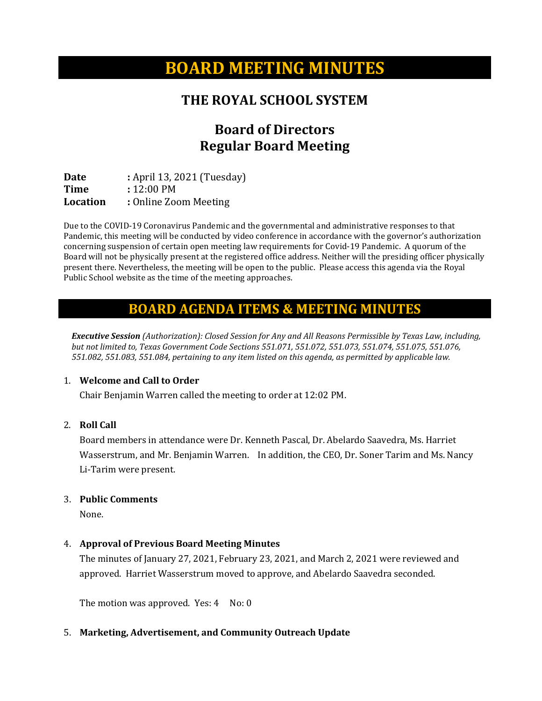# **BOARD MEETING MINUTES**

## **THE ROYAL SCHOOL SYSTEM**

# **Board of Directors Regular Board Meeting**

**Date :** April 13, 2021 (Tuesday)<br> **Time :** 12:00 PM **Time** : 12:00 PM<br> **Location** : Online Zoo **Location :** Online Zoom Meeting

Due to the COVID-19 Coronavirus Pandemic and the governmental and administrative responses to that Pandemic, this meeting will be conducted by video conference in accordance with the governor's authorization concerning suspension of certain open meeting law requirements for Covid-19 Pandemic. A quorum of the Board will not be physically present at the registered office address. Neither will the presiding officer physically present there. Nevertheless, the meeting will be open to the public. Please access this agenda via the Royal Public School website as the time of the meeting approaches.

### **BOARD AGENDA ITEMS & MEETING MINUTES**

*Executive Session (Authorization): Closed Session for Any and All Reasons Permissible by Texas Law, including, but not limited to, Texas Government Code Sections 551.071, 551.072, 551.073, 551.074, 551.075, 551.076, 551.082, 551.083, 551.084, pertaining to any item listed on this agenda, as permitted by applicable law.*

#### 1. **Welcome and Call to Order**

Chair Benjamin Warren called the meeting to order at 12:02 PM.

#### 2. **Roll Call**

Board members in attendance were Dr. Kenneth Pascal, Dr. Abelardo Saavedra, Ms. Harriet Wasserstrum, and Mr. Benjamin Warren. In addition, the CEO, Dr. Soner Tarim and Ms. Nancy Li-Tarim were present.

#### 3. **Public Comments**

None.

### 4. **Approval of Previous Board Meeting Minutes**

The minutes of January 27, 2021, February 23, 2021, and March 2, 2021 were reviewed and approved. Harriet Wasserstrum moved to approve, and Abelardo Saavedra seconded.

The motion was approved. Yes:  $4$  No:  $0$ 

### 5. **Marketing, Advertisement, and Community Outreach Update**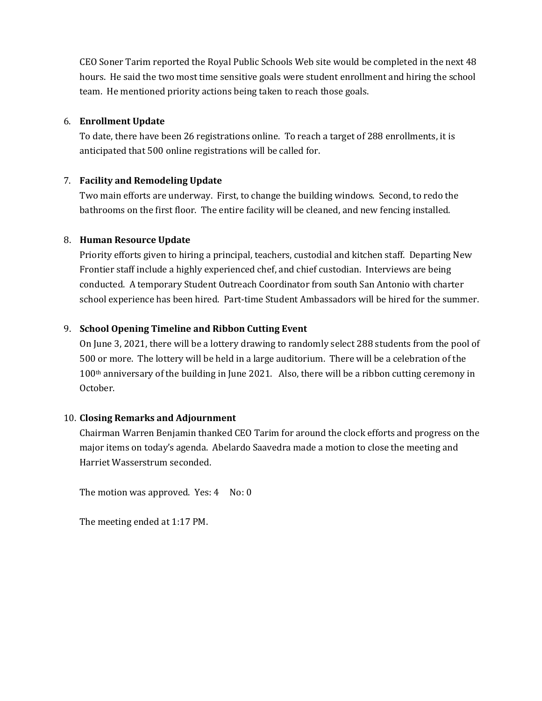CEO Soner Tarim reported the Royal Public Schools Web site would be completed in the next 48 hours. He said the two most time sensitive goals were student enrollment and hiring the school team. He mentioned priority actions being taken to reach those goals.

#### 6. **Enrollment Update**

To date, there have been 26 registrations online. To reach a target of 288 enrollments, it is anticipated that 500 online registrations will be called for.

### 7. **Facility and Remodeling Update**

Two main efforts are underway. First, to change the building windows. Second, to redo the bathrooms on the first floor. The entire facility will be cleaned, and new fencing installed.

### 8. **Human Resource Update**

Priority efforts given to hiring a principal, teachers, custodial and kitchen staff. Departing New Frontier staff include a highly experienced chef, and chief custodian. Interviews are being conducted. A temporary Student Outreach Coordinator from south San Antonio with charter school experience has been hired. Part-time Student Ambassadors will be hired for the summer.

### 9. **School Opening Timeline and Ribbon Cutting Event**

On June 3, 2021, there will be a lottery drawing to randomly select 288 students from the pool of 500 or more. The lottery will be held in a large auditorium. There will be a celebration of the 100<sup>th</sup> anniversary of the building in June 2021. Also, there will be a ribbon cutting ceremony in October.

### 10. **Closing Remarks and Adjournment**

Chairman Warren Benjamin thanked CEO Tarim for around the clock efforts and progress on the major items on today's agenda. Abelardo Saavedra made a motion to close the meeting and Harriet Wasserstrum seconded.

The motion was approved. Yes:  $4$  No:  $0$ 

The meeting ended at 1:17 PM.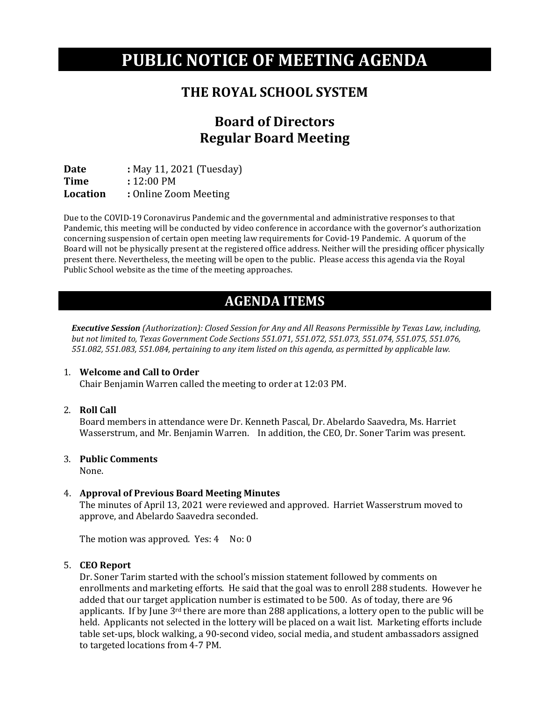# **PUBLIC NOTICE OF MEETING AGENDA**

## **THE ROYAL SCHOOL SYSTEM**

# **Board of Directors Regular Board Meeting**

**Date :** May 11, 2021 (Tuesday)<br> **Time :** 12:00 PM **Time** : 12:00 PM<br> **Location** : Online Zoo **Location :** Online Zoom Meeting

Due to the COVID-19 Coronavirus Pandemic and the governmental and administrative responses to that Pandemic, this meeting will be conducted by video conference in accordance with the governor's authorization concerning suspension of certain open meeting law requirements for Covid-19 Pandemic. A quorum of the Board will not be physically present at the registered office address. Neither will the presiding officer physically present there. Nevertheless, the meeting will be open to the public. Please access this agenda via the Royal Public School website as the time of the meeting approaches.

# **AGENDA ITEMS**

*Executive Session (Authorization): Closed Session for Any and All Reasons Permissible by Texas Law, including, but not limited to, Texas Government Code Sections 551.071, 551.072, 551.073, 551.074, 551.075, 551.076, 551.082, 551.083, 551.084, pertaining to any item listed on this agenda, as permitted by applicable law.*

#### 1. **Welcome and Call to Order**

Chair Benjamin Warren called the meeting to order at 12:03 PM.

2. **Roll Call**

Board members in attendance were Dr. Kenneth Pascal, Dr. Abelardo Saavedra, Ms. Harriet Wasserstrum, and Mr. Benjamin Warren. In addition, the CEO, Dr. Soner Tarim was present.

#### 3. **Public Comments**

None.

#### 4. **Approval of Previous Board Meeting Minutes**

The minutes of April 13, 2021 were reviewed and approved. Harriet Wasserstrum moved to approve, and Abelardo Saavedra seconded.

The motion was approved. Yes: 4 No: 0

#### 5. **CEO Report**

Dr. Soner Tarim started with the school's mission statement followed by comments on enrollments and marketing efforts. He said that the goal was to enroll 288 students. However he added that our target application number is estimated to be 500. As of today, there are 96 applicants. If by June 3<sup>rd</sup> there are more than 288 applications, a lottery open to the public will be held. Applicants not selected in the lottery will be placed on a wait list. Marketing efforts include table set-ups, block walking, a 90-second video, social media, and student ambassadors assigned to targeted locations from 4-7 PM.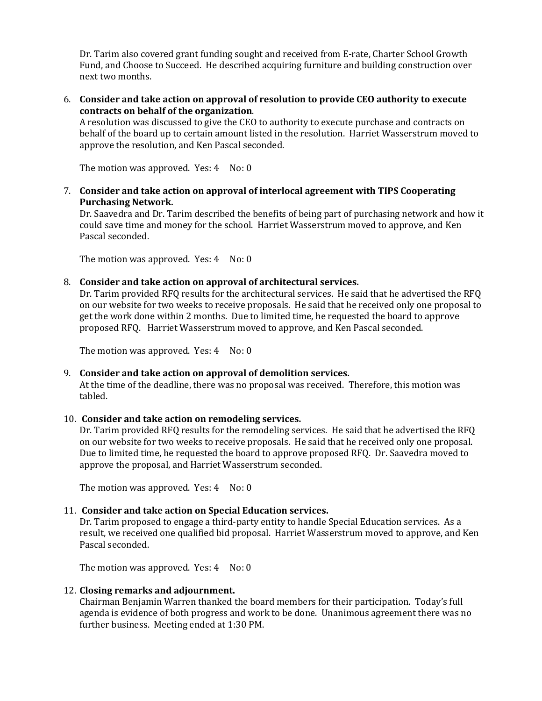Dr. Tarim also covered grant funding sought and received from E-rate, Charter School Growth Fund, and Choose to Succeed. He described acquiring furniture and building construction over next two months.

6. **Consider and take action on approval of resolution to provide CEO authority to execute contracts on behalf of the organization**.

A resolution was discussed to give the CEO to authority to execute purchase and contracts on behalf of the board up to certain amount listed in the resolution. Harriet Wasserstrum moved to approve the resolution, and Ken Pascal seconded.

The motion was approved. Yes:  $4$  No:  $0$ 

7. **Consider and take action on approval of interlocal agreement with TIPS Cooperating Purchasing Network.**

Dr. Saavedra and Dr. Tarim described the benefits of being part of purchasing network and how it could save time and money for the school. Harriet Wasserstrum moved to approve, and Ken Pascal seconded.

The motion was approved. Yes:  $4$  No:  $0$ 

8. **Consider and take action on approval of architectural services.** 

Dr. Tarim provided RFQ results for the architectural services. He said that he advertised the RFQ on our website for two weeks to receive proposals. He said that he received only one proposal to get the work done within 2 months. Due to limited time, he requested the board to approve proposed RFQ. Harriet Wasserstrum moved to approve, and Ken Pascal seconded.

The motion was approved. Yes:  $4$  No:  $0$ 

#### 9. **Consider and take action on approval of demolition services.**

At the time of the deadline, there was no proposal was received. Therefore, this motion was tabled.

#### 10. **Consider and take action on remodeling services.**

Dr. Tarim provided RFQ results for the remodeling services. He said that he advertised the RFQ on our website for two weeks to receive proposals. He said that he received only one proposal. Due to limited time, he requested the board to approve proposed RFQ. Dr. Saavedra moved to approve the proposal, and Harriet Wasserstrum seconded.

The motion was approved. Yes:  $4$  No:  $0$ 

#### 11. **Consider and take action on Special Education services.**

Dr. Tarim proposed to engage a third-party entity to handle Special Education services. As a result, we received one qualified bid proposal. Harriet Wasserstrum moved to approve, and Ken Pascal seconded.

The motion was approved. Yes: 4 No: 0

#### 12. **Closing remarks and adjournment.**

Chairman Benjamin Warren thanked the board members for their participation. Today's full agenda is evidence of both progress and work to be done. Unanimous agreement there was no further business. Meeting ended at 1:30 PM.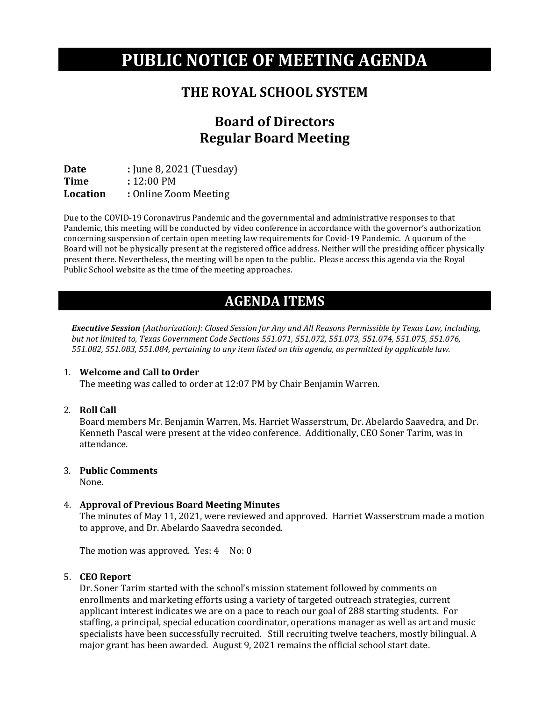# **PUBLIC NOTICE OF MEETING AGENDA**

## **THE ROYAL SCHOOL SYSTEM**

# **Board of Directors Regular Board Meeting**

**Date : June 8, 2021 (Tuesday)**<br>**Time :** 12:00 PM **Time** : 12:00 PM<br> **Location** : Online Zoo **Location :** Online Zoom Meeting

Due to the COVID-19 Coronavirus Pandemic and the governmental and administrative responses to that Pandemic, this meeting will be conducted by video conference in accordance with the governor's authorization concerning suspension of certain open meeting law requirements for Covid-19 Pandemic. A quorum of the Board will not be physically present at the registered office address. Neither will the presiding officer physically present there. Nevertheless, the meeting will be open to the public. Please access this agenda via the Royal Public School website as the time of the meeting approaches.

# **AGENDA ITEMS**

*Executive Session (Authorization): Closed Session for Any and All Reasons Permissible by Texas Law, including, but not limited to, Texas Government Code Sections 551.071, 551.072, 551.073, 551.074, 551.075, 551.076, 551.082, 551.083, 551.084, pertaining to any item listed on this agenda, as permitted by applicable law.*

#### 1. **Welcome and Call to Order**

The meeting was called to order at 12:07 PM by Chair Benjamin Warren.

2. **Roll Call**

Board members Mr. Benjamin Warren, Ms. Harriet Wasserstrum, Dr. Abelardo Saavedra, and Dr. Kenneth Pascal were present at the video conference. Additionally, CEO Soner Tarim, was in attendance.

#### 3. **Public Comments**

None.

### 4. **Approval of Previous Board Meeting Minutes**

The minutes of May 11, 2021, were reviewed and approved. Harriet Wasserstrum made a motion to approve, and Dr. Abelardo Saavedra seconded.

The motion was approved. Yes: 4 No: 0

#### 5. **CEO Report**

Dr. Soner Tarim started with the school's mission statement followed by comments on enrollments and marketing efforts using a variety of targeted outreach strategies, current applicant interest indicates we are on a pace to reach our goal of 288 starting students. For staffing, a principal, special education coordinator, operations manager as well as art and music specialists have been successfully recruited. Still recruiting twelve teachers, mostly bilingual. A major grant has been awarded. August 9, 2021 remains the official school start date.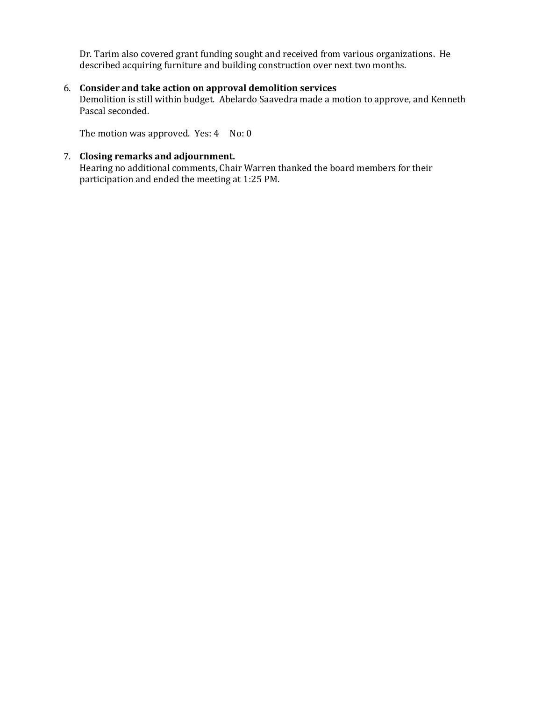Dr. Tarim also covered grant funding sought and received from various organizations. He described acquiring furniture and building construction over next two months.

#### 6. **Consider and take action on approval demolition services**

Demolition is still within budget. Abelardo Saavedra made a motion to approve, and Kenneth Pascal seconded.

The motion was approved. Yes:  $4$  No:  $0$ 

#### 7. **Closing remarks and adjournment.**

Hearing no additional comments, Chair Warren thanked the board members for their participation and ended the meeting at 1:25 PM.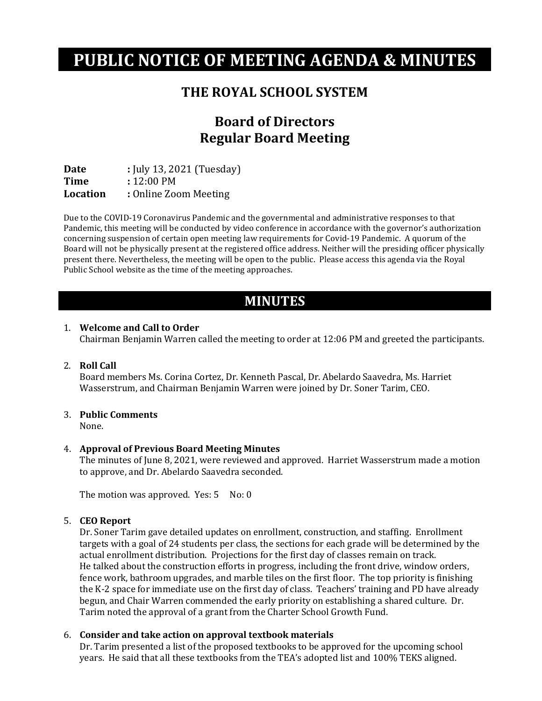# **PUBLIC NOTICE OF MEETING AGENDA & MINUTES**

## **THE ROYAL SCHOOL SYSTEM**

# **Board of Directors Regular Board Meeting**

**Date : July 13, 2021 (Tuesday)**<br>**Time :** 12:00 PM **Time** : 12:00 PM<br>**Location** : Online Zoo **Location :** Online Zoom Meeting

Due to the COVID-19 Coronavirus Pandemic and the governmental and administrative responses to that Pandemic, this meeting will be conducted by video conference in accordance with the governor's authorization concerning suspension of certain open meeting law requirements for Covid-19 Pandemic. A quorum of the Board will not be physically present at the registered office address. Neither will the presiding officer physically present there. Nevertheless, the meeting will be open to the public. Please access this agenda via the Royal Public School website as the time of the meeting approaches.

## **MINUTES**

#### 1. **Welcome and Call to Order**

Chairman Benjamin Warren called the meeting to order at 12:06 PM and greeted the participants.

#### 2. **Roll Call**

Board members Ms. Corina Cortez, Dr. Kenneth Pascal, Dr. Abelardo Saavedra, Ms. Harriet Wasserstrum, and Chairman Benjamin Warren were joined by Dr. Soner Tarim, CEO.

#### 3. **Public Comments**

None.

#### 4. **Approval of Previous Board Meeting Minutes**

The minutes of June 8, 2021, were reviewed and approved. Harriet Wasserstrum made a motion to approve, and Dr. Abelardo Saavedra seconded.

The motion was approved. Yes: 5 No: 0

#### 5. **CEO Report**

Dr. Soner Tarim gave detailed updates on enrollment, construction, and staffing. Enrollment targets with a goal of 24 students per class, the sections for each grade will be determined by the actual enrollment distribution. Projections for the first day of classes remain on track. He talked about the construction efforts in progress, including the front drive, window orders, fence work, bathroom upgrades, and marble tiles on the first floor. The top priority is finishing the K-2 space for immediate use on the first day of class. Teachers' training and PD have already begun, and Chair Warren commended the early priority on establishing a shared culture. Dr. Tarim noted the approval of a grant from the Charter School Growth Fund.

#### 6. **Consider and take action on approval textbook materials**

Dr. Tarim presented a list of the proposed textbooks to be approved for the upcoming school years. He said that all these textbooks from the TEA's adopted list and 100% TEKS aligned.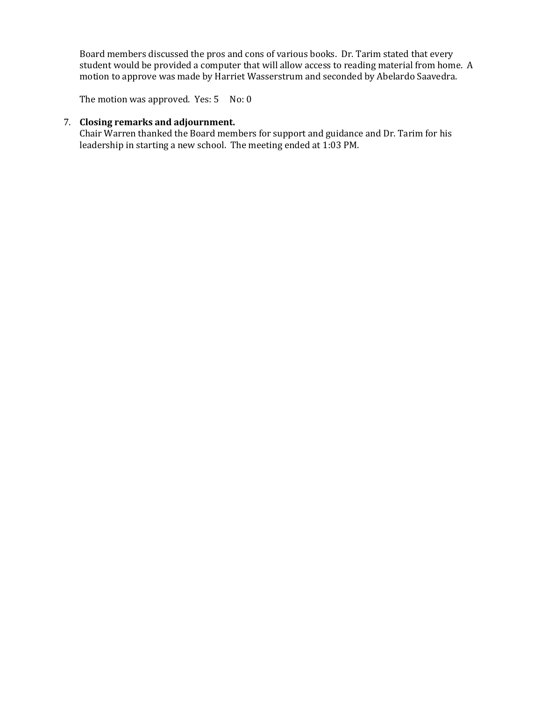Board members discussed the pros and cons of various books. Dr. Tarim stated that every student would be provided a computer that will allow access to reading material from home. A motion to approve was made by Harriet Wasserstrum and seconded by Abelardo Saavedra.

The motion was approved. Yes: 5 No: 0

#### 7. **Closing remarks and adjournment.**

Chair Warren thanked the Board members for support and guidance and Dr. Tarim for his leadership in starting a new school. The meeting ended at 1:03 PM.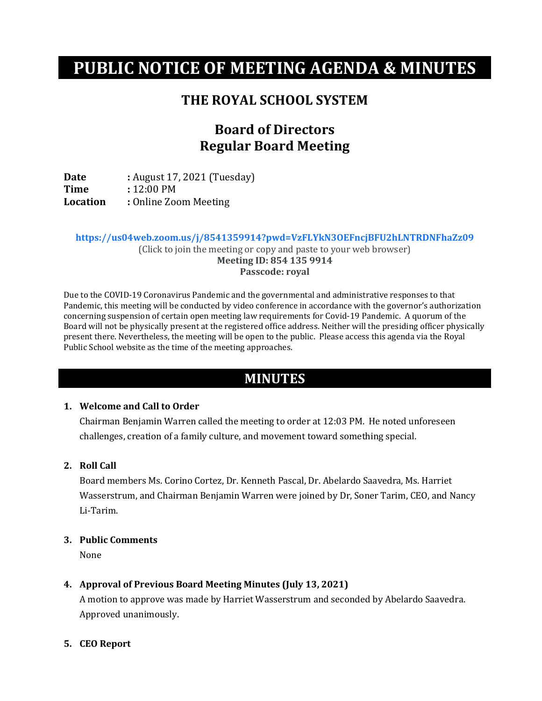# **PUBLIC NOTICE OF MEETING AGENDA & MINUTES**

## **THE ROYAL SCHOOL SYSTEM**

# **Board of Directors Regular Board Meeting**

**Date :** August 17, 2021 (Tuesday)<br> **Time :** 12:00 PM **Time** : 12:00 PM<br> **Location** : Online Zoo **Location :** Online Zoom Meeting

**https://us04web.zoom.us/j/8541359914?pwd=VzFLYkN3OEFncjBFU2hLNTRDNFhaZz09** (Click to join the meeting or copy and paste to your web browser) **Meeting ID: 854 135 9914**

**Passcode: royal**

Due to the COVID-19 Coronavirus Pandemic and the governmental and administrative responses to that Pandemic, this meeting will be conducted by video conference in accordance with the governor's authorization concerning suspension of certain open meeting law requirements for Covid-19 Pandemic. A quorum of the Board will not be physically present at the registered office address. Neither will the presiding officer physically present there. Nevertheless, the meeting will be open to the public. Please access this agenda via the Royal Public School website as the time of the meeting approaches.

## **MINUTES**

#### **1. Welcome and Call to Order**

Chairman Benjamin Warren called the meeting to order at 12:03 PM. He noted unforeseen challenges, creation of a family culture, and movement toward something special.

#### **2. Roll Call**

Board members Ms. Corino Cortez, Dr. Kenneth Pascal, Dr. Abelardo Saavedra, Ms. Harriet Wasserstrum, and Chairman Benjamin Warren were joined by Dr, Soner Tarim, CEO, and Nancy Li-Tarim.

#### **3. Public Comments**

None

#### **4. Approval of Previous Board Meeting Minutes (July 13, 2021)**

A motion to approve was made by Harriet Wasserstrum and seconded by Abelardo Saavedra. Approved unanimously.

#### **5. CEO Report**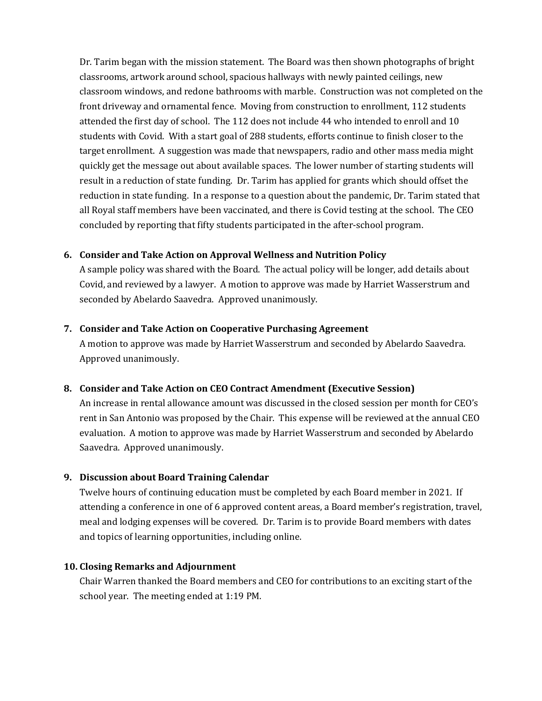Dr. Tarim began with the mission statement. The Board was then shown photographs of bright classrooms, artwork around school, spacious hallways with newly painted ceilings, new classroom windows, and redone bathrooms with marble. Construction was not completed on the front driveway and ornamental fence. Moving from construction to enrollment, 112 students attended the first day of school. The 112 does not include 44 who intended to enroll and 10 students with Covid. With a start goal of 288 students, efforts continue to finish closer to the target enrollment. A suggestion was made that newspapers, radio and other mass media might quickly get the message out about available spaces. The lower number of starting students will result in a reduction of state funding. Dr. Tarim has applied for grants which should offset the reduction in state funding. In a response to a question about the pandemic, Dr. Tarim stated that all Royal staff members have been vaccinated, and there is Covid testing at the school. The CEO concluded by reporting that fifty students participated in the after-school program.

### **6. Consider and Take Action on Approval Wellness and Nutrition Policy**

A sample policy was shared with the Board. The actual policy will be longer, add details about Covid, and reviewed by a lawyer. A motion to approve was made by Harriet Wasserstrum and seconded by Abelardo Saavedra. Approved unanimously.

### **7. Consider and Take Action on Cooperative Purchasing Agreement**

A motion to approve was made by Harriet Wasserstrum and seconded by Abelardo Saavedra. Approved unanimously.

#### **8. Consider and Take Action on CEO Contract Amendment (Executive Session)**

An increase in rental allowance amount was discussed in the closed session per month for CEO's rent in San Antonio was proposed by the Chair. This expense will be reviewed at the annual CEO evaluation. A motion to approve was made by Harriet Wasserstrum and seconded by Abelardo Saavedra. Approved unanimously.

### **9. Discussion about Board Training Calendar**

Twelve hours of continuing education must be completed by each Board member in 2021. If attending a conference in one of 6 approved content areas, a Board member's registration, travel, meal and lodging expenses will be covered. Dr. Tarim is to provide Board members with dates and topics of learning opportunities, including online.

#### **10. Closing Remarks and Adjournment**

Chair Warren thanked the Board members and CEO for contributions to an exciting start of the school year. The meeting ended at 1:19 PM.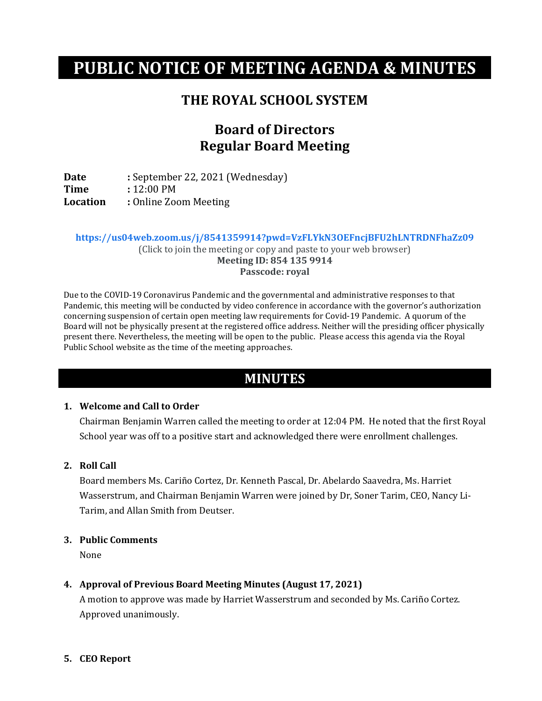# **PUBLIC NOTICE OF MEETING AGENDA & MINUTES**

### **THE ROYAL SCHOOL SYSTEM**

## **Board of Directors Regular Board Meeting**

**Date :** September 22, 2021 (Wednesday)<br> **Time :** 12:00 PM **Time :** 12:00 PM<br>**Location :** Online Zo **Location :** Online Zoom Meeting

**https://us04web.zoom.us/j/8541359914?pwd=VzFLYkN3OEFncjBFU2hLNTRDNFhaZz09** (Click to join the meeting or copy and paste to your web browser) **Meeting ID: 854 135 9914**

**Passcode: royal**

Due to the COVID-19 Coronavirus Pandemic and the governmental and administrative responses to that Pandemic, this meeting will be conducted by video conference in accordance with the governor's authorization concerning suspension of certain open meeting law requirements for Covid-19 Pandemic. A quorum of the Board will not be physically present at the registered office address. Neither will the presiding officer physically present there. Nevertheless, the meeting will be open to the public. Please access this agenda via the Royal Public School website as the time of the meeting approaches.

## **MINUTES**

#### **1. Welcome and Call to Order**

Chairman Benjamin Warren called the meeting to order at 12:04 PM. He noted that the first Royal School year was off to a positive start and acknowledged there were enrollment challenges.

#### **2. Roll Call**

Board members Ms. Cariño Cortez, Dr. Kenneth Pascal, Dr. Abelardo Saavedra, Ms. Harriet Wasserstrum, and Chairman Benjamin Warren were joined by Dr, Soner Tarim, CEO, Nancy Li-Tarim, and Allan Smith from Deutser.

#### **3. Public Comments**

None

#### **4. Approval of Previous Board Meeting Minutes (August 17, 2021)**

A motion to approve was made by Harriet Wasserstrum and seconded by Ms. Cariño Cortez. Approved unanimously.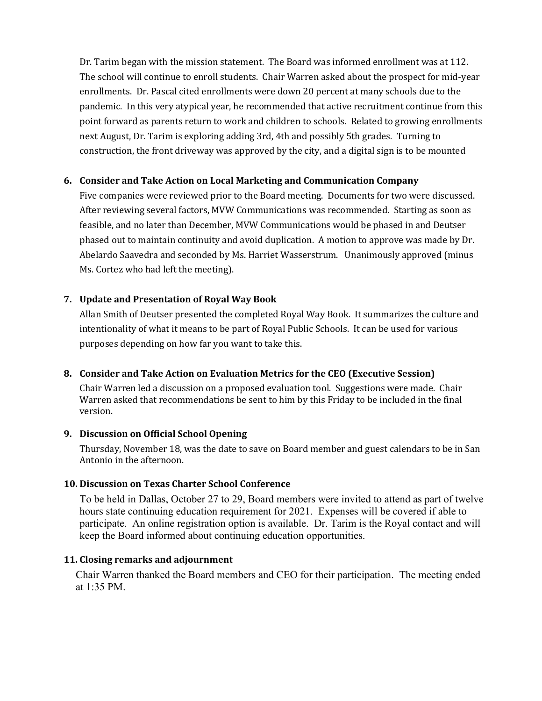Dr. Tarim began with the mission statement. The Board was informed enrollment was at 112. The school will continue to enroll students. Chair Warren asked about the prospect for mid-year enrollments. Dr. Pascal cited enrollments were down 20 percent at many schools due to the pandemic. In this very atypical year, he recommended that active recruitment continue from this point forward as parents return to work and children to schools. Related to growing enrollments next August, Dr. Tarim is exploring adding 3rd, 4th and possibly 5th grades. Turning to construction, the front driveway was approved by the city, and a digital sign is to be mounted

#### **6. Consider and Take Action on Local Marketing and Communication Company**

Five companies were reviewed prior to the Board meeting. Documents for two were discussed. After reviewing several factors, MVW Communications was recommended. Starting as soon as feasible, and no later than December, MVW Communications would be phased in and Deutser phased out to maintain continuity and avoid duplication. A motion to approve was made by Dr. Abelardo Saavedra and seconded by Ms. Harriet Wasserstrum. Unanimously approved (minus Ms. Cortez who had left the meeting).

### **7. Update and Presentation of Royal Way Book**

Allan Smith of Deutser presented the completed Royal Way Book. It summarizes the culture and intentionality of what it means to be part of Royal Public Schools. It can be used for various purposes depending on how far you want to take this.

#### **8. Consider and Take Action on Evaluation Metrics for the CEO (Executive Session)**

Chair Warren led a discussion on a proposed evaluation tool. Suggestions were made. Chair Warren asked that recommendations be sent to him by this Friday to be included in the final version.

#### **9. Discussion on Official School Opening**

Thursday, November 18, was the date to save on Board member and guest calendars to be in San Antonio in the afternoon.

#### **10. Discussion on Texas Charter School Conference**

To be held in Dallas, October 27 to 29, Board members were invited to attend as part of twelve hours state continuing education requirement for 2021. Expenses will be covered if able to participate. An online registration option is available. Dr. Tarim is the Royal contact and will keep the Board informed about continuing education opportunities.

#### **11. Closing remarks and adjournment**

Chair Warren thanked the Board members and CEO for their participation. The meeting ended at 1:35 PM.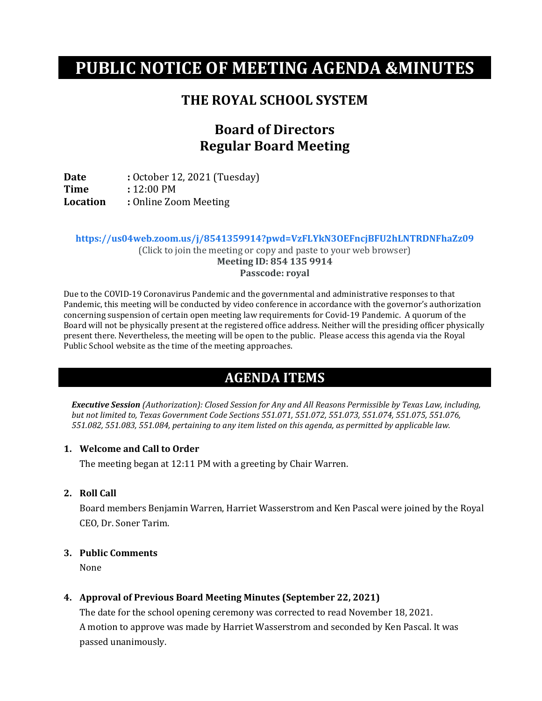# **PUBLIC NOTICE OF MEETING AGENDA &MINUTES**

### **THE ROYAL SCHOOL SYSTEM**

# **Board of Directors Regular Board Meeting**

**Date :** October 12, 2021 (Tuesday)<br> **Time :** 12:00 PM **Time** : 12:00 PM<br> **Location** : Online Zoo **Location :** Online Zoom Meeting

**https://us04web.zoom.us/j/8541359914?pwd=VzFLYkN3OEFncjBFU2hLNTRDNFhaZz09**

(Click to join the meeting or copy and paste to your web browser) **Meeting ID: 854 135 9914 Passcode: royal**

Due to the COVID-19 Coronavirus Pandemic and the governmental and administrative responses to that Pandemic, this meeting will be conducted by video conference in accordance with the governor's authorization concerning suspension of certain open meeting law requirements for Covid-19 Pandemic. A quorum of the Board will not be physically present at the registered office address. Neither will the presiding officer physically present there. Nevertheless, the meeting will be open to the public. Please access this agenda via the Royal Public School website as the time of the meeting approaches.

## **AGENDA ITEMS**

*Executive Session (Authorization): Closed Session for Any and All Reasons Permissible by Texas Law, including, but not limited to, Texas Government Code Sections 551.071, 551.072, 551.073, 551.074, 551.075, 551.076, 551.082, 551.083, 551.084, pertaining to any item listed on this agenda, as permitted by applicable law.*

#### **1. Welcome and Call to Order**

The meeting began at 12:11 PM with a greeting by Chair Warren.

**2. Roll Call**

Board members Benjamin Warren, Harriet Wasserstrom and Ken Pascal were joined by the Royal CEO, Dr. Soner Tarim.

#### **3. Public Comments**

None

#### **4. Approval of Previous Board Meeting Minutes (September 22, 2021)**

The date for the school opening ceremony was corrected to read November 18, 2021. A motion to approve was made by Harriet Wasserstrom and seconded by Ken Pascal. It was passed unanimously.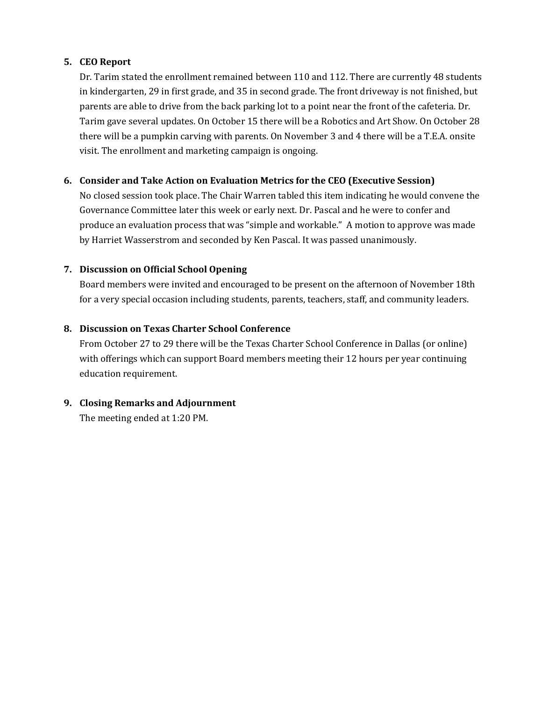#### **5. CEO Report**

Dr. Tarim stated the enrollment remained between 110 and 112. There are currently 48 students in kindergarten, 29 in first grade, and 35 in second grade. The front driveway is not finished, but parents are able to drive from the back parking lot to a point near the front of the cafeteria. Dr. Tarim gave several updates. On October 15 there will be a Robotics and Art Show. On October 28 there will be a pumpkin carving with parents. On November 3 and 4 there will be a T.E.A. onsite visit. The enrollment and marketing campaign is ongoing.

### **6. Consider and Take Action on Evaluation Metrics for the CEO (Executive Session)**

No closed session took place. The Chair Warren tabled this item indicating he would convene the Governance Committee later this week or early next. Dr. Pascal and he were to confer and produce an evaluation process that was "simple and workable." A motion to approve was made by Harriet Wasserstrom and seconded by Ken Pascal. It was passed unanimously.

### **7. Discussion on Official School Opening**

Board members were invited and encouraged to be present on the afternoon of November 18th for a very special occasion including students, parents, teachers, staff, and community leaders.

### **8. Discussion on Texas Charter School Conference**

From October 27 to 29 there will be the Texas Charter School Conference in Dallas (or online) with offerings which can support Board members meeting their 12 hours per year continuing education requirement.

#### **9. Closing Remarks and Adjournment**

The meeting ended at 1:20 PM.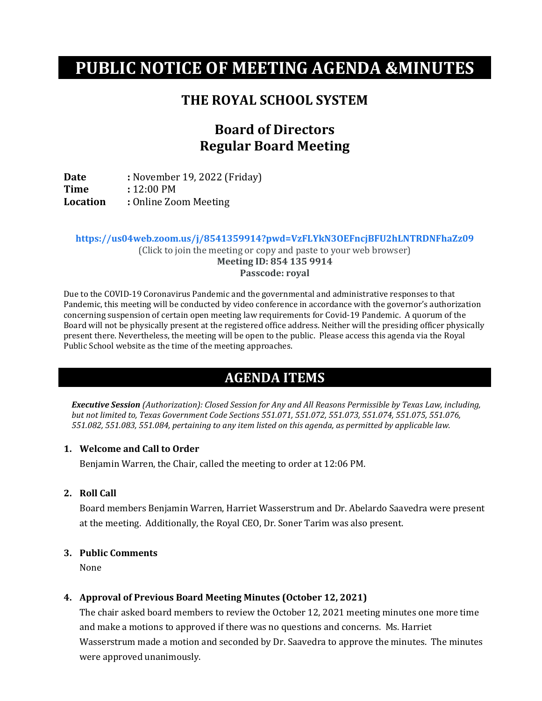# **PUBLIC NOTICE OF MEETING AGENDA &MINUTES**

### **THE ROYAL SCHOOL SYSTEM**

# **Board of Directors Regular Board Meeting**

**Date :** November 19, 2022 (Friday)<br>**Time :** 12:00 PM **Time** : 12:00 PM<br> **Location** : Online Zoo **Location :** Online Zoom Meeting

**https://us04web.zoom.us/j/8541359914?pwd=VzFLYkN3OEFncjBFU2hLNTRDNFhaZz09**

(Click to join the meeting or copy and paste to your web browser) **Meeting ID: 854 135 9914 Passcode: royal**

Due to the COVID-19 Coronavirus Pandemic and the governmental and administrative responses to that Pandemic, this meeting will be conducted by video conference in accordance with the governor's authorization concerning suspension of certain open meeting law requirements for Covid-19 Pandemic. A quorum of the Board will not be physically present at the registered office address. Neither will the presiding officer physically present there. Nevertheless, the meeting will be open to the public. Please access this agenda via the Royal Public School website as the time of the meeting approaches.

## **AGENDA ITEMS**

*Executive Session (Authorization): Closed Session for Any and All Reasons Permissible by Texas Law, including, but not limited to, Texas Government Code Sections 551.071, 551.072, 551.073, 551.074, 551.075, 551.076, 551.082, 551.083, 551.084, pertaining to any item listed on this agenda, as permitted by applicable law.*

#### **1. Welcome and Call to Order**

Benjamin Warren, the Chair, called the meeting to order at 12:06 PM.

**2. Roll Call**

Board members Benjamin Warren, Harriet Wasserstrum and Dr. Abelardo Saavedra were present at the meeting. Additionally, the Royal CEO, Dr. Soner Tarim was also present.

#### **3. Public Comments**

None

#### **4. Approval of Previous Board Meeting Minutes (October 12, 2021)**

The chair asked board members to review the October 12, 2021 meeting minutes one more time and make a motions to approved if there was no questions and concerns. Ms. Harriet Wasserstrum made a motion and seconded by Dr. Saavedra to approve the minutes. The minutes were approved unanimously.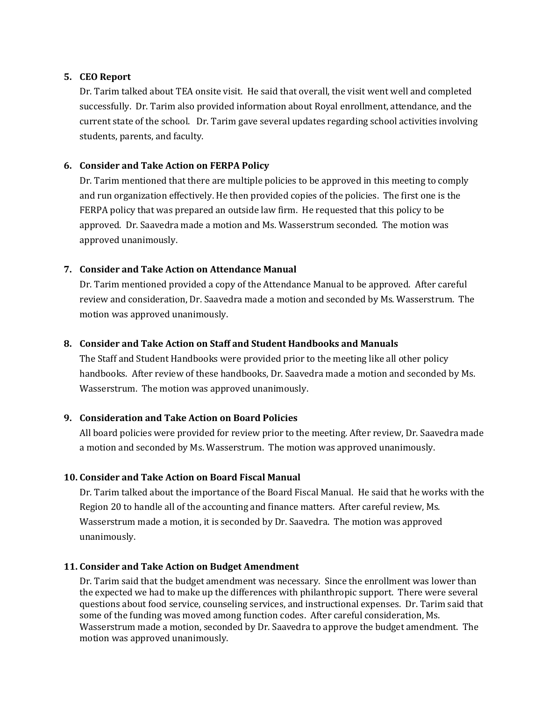#### **5. CEO Report**

Dr. Tarim talked about TEA onsite visit. He said that overall, the visit went well and completed successfully. Dr. Tarim also provided information about Royal enrollment, attendance, and the current state of the school. Dr. Tarim gave several updates regarding school activities involving students, parents, and faculty.

#### **6. Consider and Take Action on FERPA Policy**

Dr. Tarim mentioned that there are multiple policies to be approved in this meeting to comply and run organization effectively. He then provided copies of the policies. The first one is the FERPA policy that was prepared an outside law firm. He requested that this policy to be approved. Dr. Saavedra made a motion and Ms. Wasserstrum seconded. The motion was approved unanimously.

#### **7. Consider and Take Action on Attendance Manual**

Dr. Tarim mentioned provided a copy of the Attendance Manual to be approved. After careful review and consideration, Dr. Saavedra made a motion and seconded by Ms. Wasserstrum. The motion was approved unanimously.

#### **8. Consider and Take Action on Staff and Student Handbooks and Manuals**

The Staff and Student Handbooks were provided prior to the meeting like all other policy handbooks. After review of these handbooks, Dr. Saavedra made a motion and seconded by Ms. Wasserstrum. The motion was approved unanimously.

#### **9. Consideration and Take Action on Board Policies**

All board policies were provided for review prior to the meeting. After review, Dr. Saavedra made a motion and seconded by Ms. Wasserstrum. The motion was approved unanimously.

#### **10. Consider and Take Action on Board Fiscal Manual**

Dr. Tarim talked about the importance of the Board Fiscal Manual. He said that he works with the Region 20 to handle all of the accounting and finance matters. After careful review, Ms. Wasserstrum made a motion, it is seconded by Dr. Saavedra. The motion was approved unanimously.

#### **11. Consider and Take Action on Budget Amendment**

Dr. Tarim said that the budget amendment was necessary. Since the enrollment was lower than the expected we had to make up the differences with philanthropic support. There were several questions about food service, counseling services, and instructional expenses. Dr. Tarim said that some of the funding was moved among function codes. After careful consideration, Ms. Wasserstrum made a motion, seconded by Dr. Saavedra to approve the budget amendment. The motion was approved unanimously.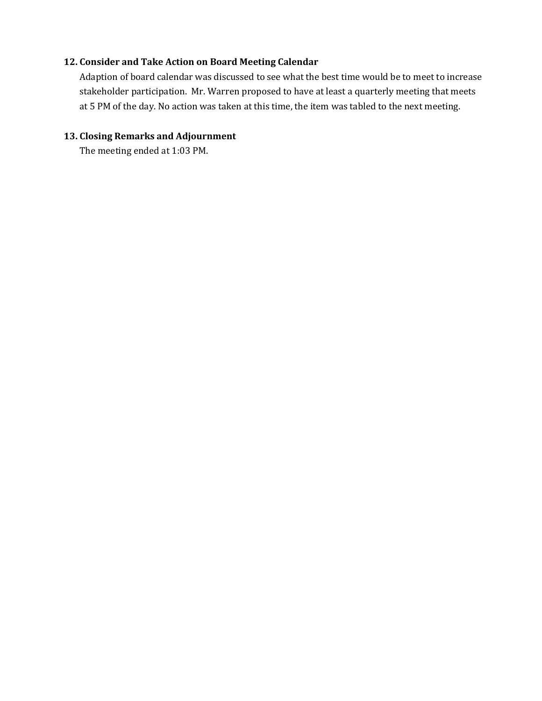#### **12. Consider and Take Action on Board Meeting Calendar**

Adaption of board calendar was discussed to see what the best time would be to meet to increase stakeholder participation. Mr. Warren proposed to have at least a quarterly meeting that meets at 5 PM of the day. No action was taken at this time, the item was tabled to the next meeting.

#### **13. Closing Remarks and Adjournment**

The meeting ended at 1:03 PM.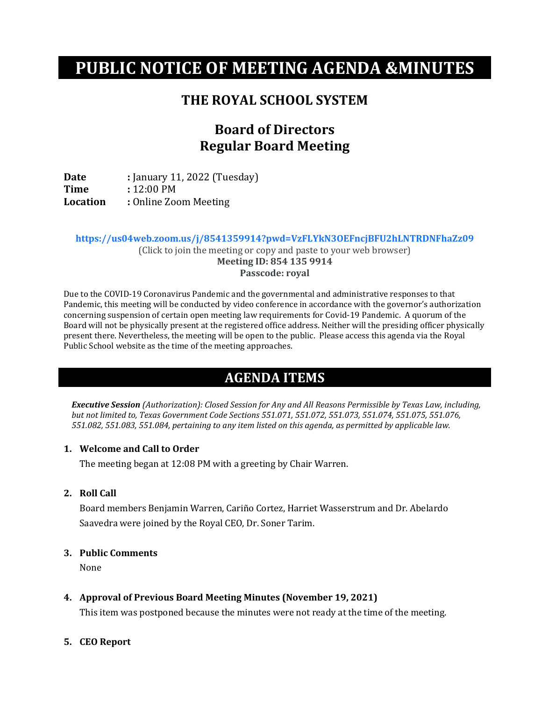# **PUBLIC NOTICE OF MEETING AGENDA &MINUTES**

### **THE ROYAL SCHOOL SYSTEM**

# **Board of Directors Regular Board Meeting**

**Date :** *January* 11, 2022 (Tuesday)<br> **Time :** 12:00 PM **Time** : 12:00 PM<br> **Location** : Online Zoo **Location :** Online Zoom Meeting

**https://us04web.zoom.us/j/8541359914?pwd=VzFLYkN3OEFncjBFU2hLNTRDNFhaZz09**

(Click to join the meeting or copy and paste to your web browser) **Meeting ID: 854 135 9914 Passcode: royal**

Due to the COVID-19 Coronavirus Pandemic and the governmental and administrative responses to that Pandemic, this meeting will be conducted by video conference in accordance with the governor's authorization concerning suspension of certain open meeting law requirements for Covid-19 Pandemic. A quorum of the Board will not be physically present at the registered office address. Neither will the presiding officer physically present there. Nevertheless, the meeting will be open to the public. Please access this agenda via the Royal Public School website as the time of the meeting approaches.

## **AGENDA ITEMS**

*Executive Session (Authorization): Closed Session for Any and All Reasons Permissible by Texas Law, including, but not limited to, Texas Government Code Sections 551.071, 551.072, 551.073, 551.074, 551.075, 551.076, 551.082, 551.083, 551.084, pertaining to any item listed on this agenda, as permitted by applicable law.*

#### **1. Welcome and Call to Order**

The meeting began at 12:08 PM with a greeting by Chair Warren.

**2. Roll Call**

Board members Benjamin Warren, Cariño Cortez, Harriet Wasserstrum and Dr. Abelardo Saavedra were joined by the Royal CEO, Dr. Soner Tarim.

#### **3. Public Comments**

None

**4. Approval of Previous Board Meeting Minutes (November 19, 2021)**

This item was postponed because the minutes were not ready at the time of the meeting.

#### **5. CEO Report**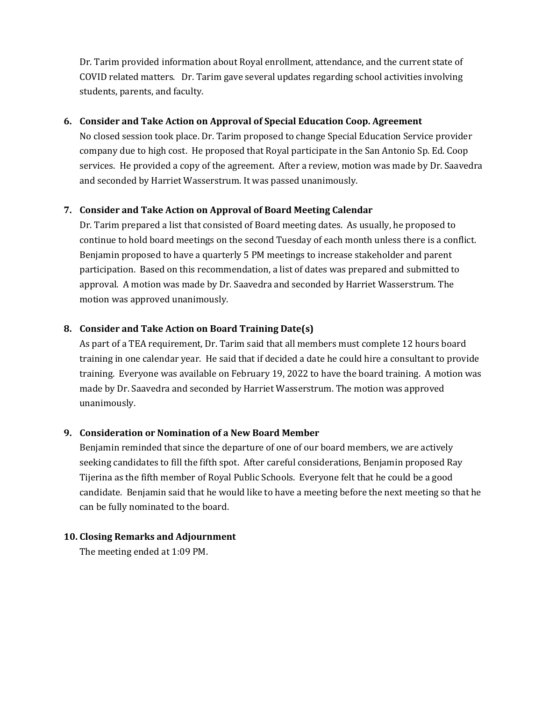Dr. Tarim provided information about Royal enrollment, attendance, and the current state of COVID related matters. Dr. Tarim gave several updates regarding school activities involving students, parents, and faculty.

#### **6. Consider and Take Action on Approval of Special Education Coop. Agreement**

No closed session took place. Dr. Tarim proposed to change Special Education Service provider company due to high cost. He proposed that Royal participate in the San Antonio Sp. Ed. Coop services. He provided a copy of the agreement. After a review, motion was made by Dr. Saavedra and seconded by Harriet Wasserstrum. It was passed unanimously.

### **7. Consider and Take Action on Approval of Board Meeting Calendar**

Dr. Tarim prepared a list that consisted of Board meeting dates. As usually, he proposed to continue to hold board meetings on the second Tuesday of each month unless there is a conflict. Benjamin proposed to have a quarterly 5 PM meetings to increase stakeholder and parent participation. Based on this recommendation, a list of dates was prepared and submitted to approval. A motion was made by Dr. Saavedra and seconded by Harriet Wasserstrum. The motion was approved unanimously.

### **8. Consider and Take Action on Board Training Date(s)**

As part of a TEA requirement, Dr. Tarim said that all members must complete 12 hours board training in one calendar year. He said that if decided a date he could hire a consultant to provide training. Everyone was available on February 19, 2022 to have the board training. A motion was made by Dr. Saavedra and seconded by Harriet Wasserstrum. The motion was approved unanimously.

### **9. Consideration or Nomination of a New Board Member**

Benjamin reminded that since the departure of one of our board members, we are actively seeking candidates to fill the fifth spot. After careful considerations, Benjamin proposed Ray Tijerina as the fifth member of Royal Public Schools. Everyone felt that he could be a good candidate. Benjamin said that he would like to have a meeting before the next meeting so that he can be fully nominated to the board.

#### **10. Closing Remarks and Adjournment**

The meeting ended at 1:09 PM.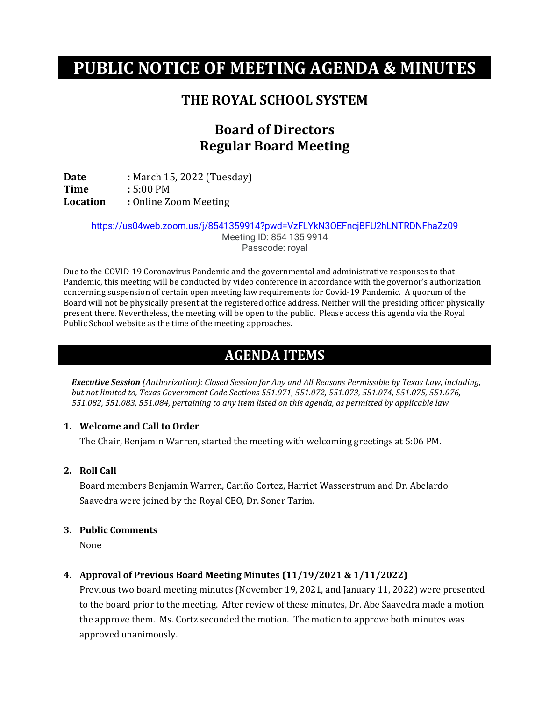# **PUBLIC NOTICE OF MEETING AGENDA & MINUTES**

## **THE ROYAL SCHOOL SYSTEM**

# **Board of Directors Regular Board Meeting**

**Date :** March 15, 2022 (Tuesday)<br> **Time :** 5:00 PM **Time** : 5:00 PM<br>**Location** : Online Zo **Location :** Online Zoom Meeting

<https://us04web.zoom.us/j/8541359914?pwd=VzFLYkN3OEFncjBFU2hLNTRDNFhaZz09>

Meeting ID: 854 135 9914 Passcode: royal

Due to the COVID-19 Coronavirus Pandemic and the governmental and administrative responses to that Pandemic, this meeting will be conducted by video conference in accordance with the governor's authorization concerning suspension of certain open meeting law requirements for Covid-19 Pandemic. A quorum of the Board will not be physically present at the registered office address. Neither will the presiding officer physically present there. Nevertheless, the meeting will be open to the public. Please access this agenda via the Royal Public School website as the time of the meeting approaches.

## **AGENDA ITEMS**

*Executive Session (Authorization): Closed Session for Any and All Reasons Permissible by Texas Law, including, but not limited to, Texas Government Code Sections 551.071, 551.072, 551.073, 551.074, 551.075, 551.076, 551.082, 551.083, 551.084, pertaining to any item listed on this agenda, as permitted by applicable law.*

#### **1. Welcome and Call to Order**

The Chair, Benjamin Warren, started the meeting with welcoming greetings at 5:06 PM.

#### **2. Roll Call**

Board members Benjamin Warren, Cariño Cortez, Harriet Wasserstrum and Dr. Abelardo Saavedra were joined by the Royal CEO, Dr. Soner Tarim.

#### **3. Public Comments**

None

### **4. Approval of Previous Board Meeting Minutes (11/19/2021 & 1/11/2022)**

Previous two board meeting minutes (November 19, 2021, and January 11, 2022) were presented to the board prior to the meeting. After review of these minutes, Dr. Abe Saavedra made a motion the approve them. Ms. Cortz seconded the motion. The motion to approve both minutes was approved unanimously.